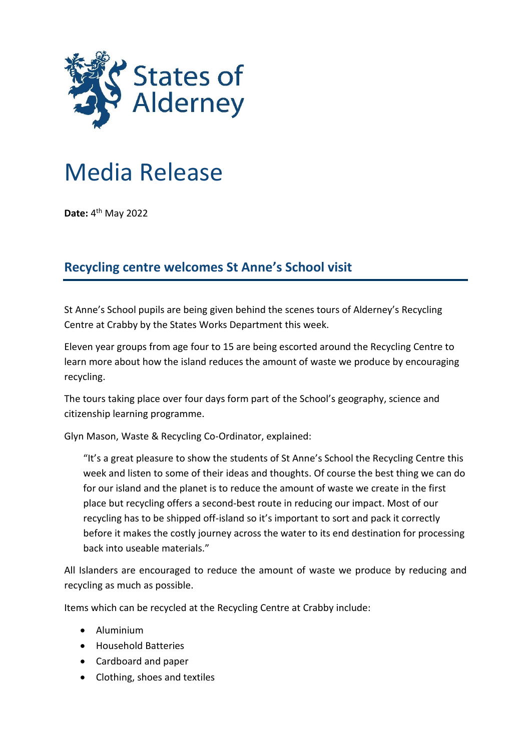

## Media Release

**Date:** 4<sup>th</sup> May 2022

## **Recycling centre welcomes St Anne's School visit**

St Anne's School pupils are being given behind the scenes tours of Alderney's Recycling Centre at Crabby by the States Works Department this week.

Eleven year groups from age four to 15 are being escorted around the Recycling Centre to learn more about how the island reduces the amount of waste we produce by encouraging recycling.

The tours taking place over four days form part of the School's geography, science and citizenship learning programme.

Glyn Mason, Waste & Recycling Co-Ordinator, explained:

"It's a great pleasure to show the students of St Anne's School the Recycling Centre this week and listen to some of their ideas and thoughts. Of course the best thing we can do for our island and the planet is to reduce the amount of waste we create in the first place but recycling offers a second-best route in reducing our impact. Most of our recycling has to be shipped off-island so it's important to sort and pack it correctly before it makes the costly journey across the water to its end destination for processing back into useable materials."

All Islanders are encouraged to reduce the amount of waste we produce by reducing and recycling as much as possible.

Items which can be recycled at the Recycling Centre at Crabby include:

- Aluminium
- Household Batteries
- Cardboard and paper
- Clothing, shoes and textiles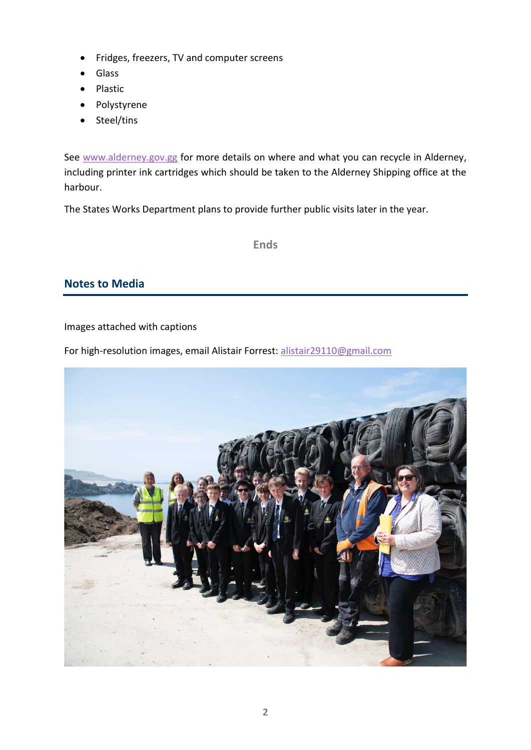- Fridges, freezers, TV and computer screens
- Glass
- Plastic
- Polystyrene
- Steel/tins

See [www.alderney.gov.gg](http://www.alderney.gov.gg/) for more details on where and what you can recycle in Alderney, including printer ink cartridges which should be taken to the Alderney Shipping office at the harbour.

The States Works Department plans to provide further public visits later in the year.

**Ends**

## **Notes to Media**

Images attached with captions

For high-resolution images, email Alistair Forrest: [alistair29110@gmail.com](mailto:alistair29110@gmail.com)